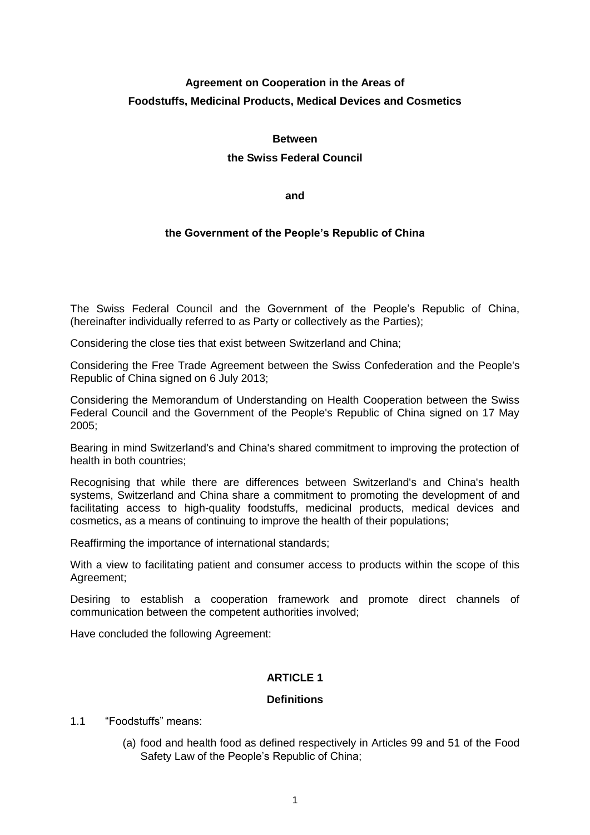# **Agreement on Cooperation in the Areas of Foodstuffs, Medicinal Products, Medical Devices and Cosmetics**

## **Between**

# **the Swiss Federal Council**

**and**

# **the Government of the People's Republic of China**

The Swiss Federal Council and the Government of the People's Republic of China, (hereinafter individually referred to as Party or collectively as the Parties);

Considering the close ties that exist between Switzerland and China;

Considering the Free Trade Agreement between the Swiss Confederation and the People's Republic of China signed on 6 July 2013;

Considering the Memorandum of Understanding on Health Cooperation between the Swiss Federal Council and the Government of the People's Republic of China signed on 17 May 2005;

Bearing in mind Switzerland's and China's shared commitment to improving the protection of health in both countries;

Recognising that while there are differences between Switzerland's and China's health systems, Switzerland and China share a commitment to promoting the development of and facilitating access to high-quality foodstuffs, medicinal products, medical devices and cosmetics, as a means of continuing to improve the health of their populations;

Reaffirming the importance of international standards;

With a view to facilitating patient and consumer access to products within the scope of this Agreement;

Desiring to establish a cooperation framework and promote direct channels of communication between the competent authorities involved;

Have concluded the following Agreement:

# **ARTICLE 1**

# **Definitions**

- 1.1 "Foodstuffs" means:
	- (a) food and health food as defined respectively in Articles 99 and 51 of the Food Safety Law of the People's Republic of China;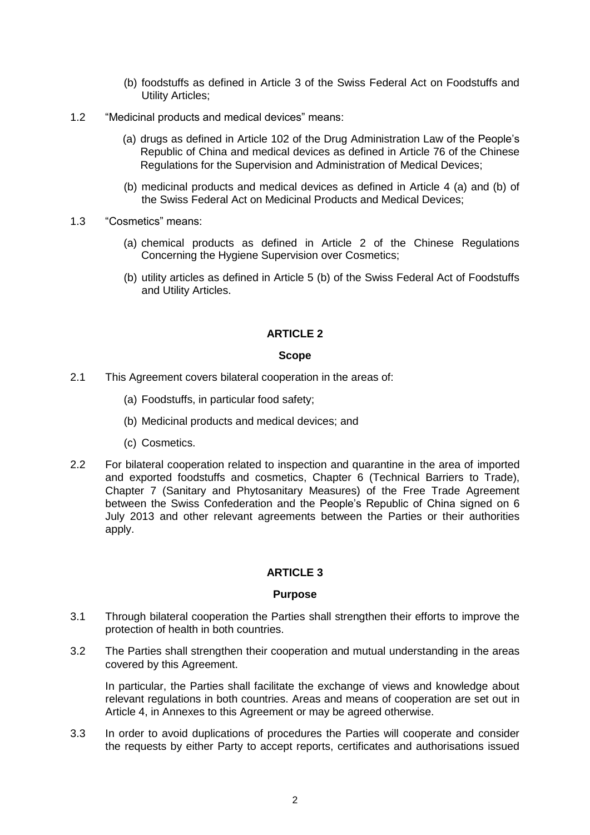- (b) foodstuffs as defined in Article 3 of the Swiss Federal Act on Foodstuffs and Utility Articles;
- 1.2 "Medicinal products and medical devices" means:
	- (a) drugs as defined in Article 102 of the Drug Administration Law of the People's Republic of China and medical devices as defined in Article 76 of the Chinese Regulations for the Supervision and Administration of Medical Devices;
	- (b) medicinal products and medical devices as defined in Article 4 (a) and (b) of the Swiss Federal Act on Medicinal Products and Medical Devices;
- 1.3 "Cosmetics" means:
	- (a) chemical products as defined in Article 2 of the Chinese Regulations Concerning the Hygiene Supervision over Cosmetics;
	- (b) utility articles as defined in Article 5 (b) of the Swiss Federal Act of Foodstuffs and Utility Articles.

#### **Scope**

- 2.1 This Agreement covers bilateral cooperation in the areas of:
	- (a) Foodstuffs, in particular food safety;
	- (b) Medicinal products and medical devices; and
	- (c) Cosmetics.
- 2.2 For bilateral cooperation related to inspection and quarantine in the area of imported and exported foodstuffs and cosmetics, Chapter 6 (Technical Barriers to Trade), Chapter 7 (Sanitary and Phytosanitary Measures) of the Free Trade Agreement between the Swiss Confederation and the People's Republic of China signed on 6 July 2013 and other relevant agreements between the Parties or their authorities apply.

# **ARTICLE 3**

# **Purpose**

- 3.1 Through bilateral cooperation the Parties shall strengthen their efforts to improve the protection of health in both countries.
- 3.2 The Parties shall strengthen their cooperation and mutual understanding in the areas covered by this Agreement.

In particular, the Parties shall facilitate the exchange of views and knowledge about relevant regulations in both countries. Areas and means of cooperation are set out in Article 4, in Annexes to this Agreement or may be agreed otherwise.

3.3 In order to avoid duplications of procedures the Parties will cooperate and consider the requests by either Party to accept reports, certificates and authorisations issued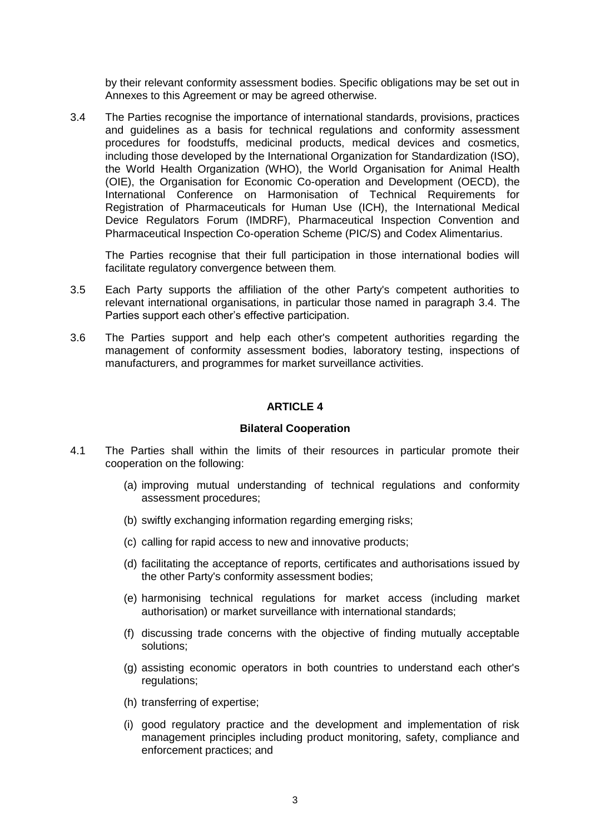by their relevant conformity assessment bodies. Specific obligations may be set out in Annexes to this Agreement or may be agreed otherwise.

3.4 The Parties recognise the importance of international standards, provisions, practices and guidelines as a basis for technical regulations and conformity assessment procedures for foodstuffs, medicinal products, medical devices and cosmetics, including those developed by the International Organization for Standardization (ISO), the World Health Organization (WHO), the World Organisation for Animal Health (OIE), the Organisation for Economic Co-operation and Development (OECD), the International Conference on Harmonisation of Technical Requirements for Registration of Pharmaceuticals for Human Use (ICH), the International Medical Device Regulators Forum (IMDRF), Pharmaceutical Inspection Convention and Pharmaceutical Inspection Co-operation Scheme (PIC/S) and Codex Alimentarius.

The Parties recognise that their full participation in those international bodies will facilitate regulatory convergence between them.

- 3.5 Each Party supports the affiliation of the other Party's competent authorities to relevant international organisations, in particular those named in paragraph 3.4. The Parties support each other's effective participation.
- 3.6 The Parties support and help each other's competent authorities regarding the management of conformity assessment bodies, laboratory testing, inspections of manufacturers, and programmes for market surveillance activities.

# **ARTICLE 4**

#### **Bilateral Cooperation**

- 4.1 The Parties shall within the limits of their resources in particular promote their cooperation on the following:
	- (a) improving mutual understanding of technical regulations and conformity assessment procedures;
	- (b) swiftly exchanging information regarding emerging risks;
	- (c) calling for rapid access to new and innovative products;
	- (d) facilitating the acceptance of reports, certificates and authorisations issued by the other Party's conformity assessment bodies;
	- (e) harmonising technical regulations for market access (including market authorisation) or market surveillance with international standards;
	- (f) discussing trade concerns with the objective of finding mutually acceptable solutions;
	- (g) assisting economic operators in both countries to understand each other's regulations;
	- (h) transferring of expertise;
	- (i) good regulatory practice and the development and implementation of risk management principles including product monitoring, safety, compliance and enforcement practices; and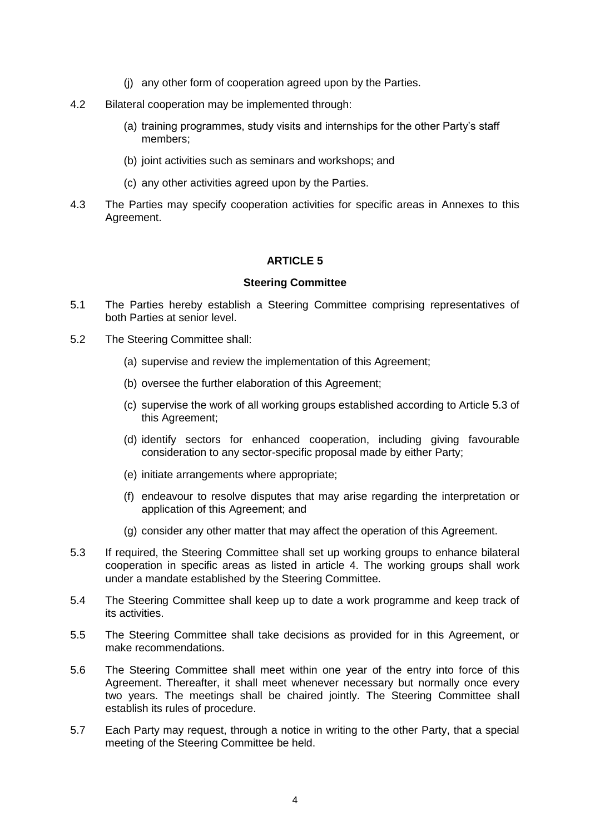- (j) any other form of cooperation agreed upon by the Parties.
- 4.2 Bilateral cooperation may be implemented through:
	- (a) training programmes, study visits and internships for the other Party's staff members;
	- (b) joint activities such as seminars and workshops; and
	- (c) any other activities agreed upon by the Parties.
- 4.3 The Parties may specify cooperation activities for specific areas in Annexes to this Agreement.

#### **Steering Committee**

- 5.1 The Parties hereby establish a Steering Committee comprising representatives of both Parties at senior level.
- 5.2 The Steering Committee shall:
	- (a) supervise and review the implementation of this Agreement;
	- (b) oversee the further elaboration of this Agreement;
	- (c) supervise the work of all working groups established according to Article 5.3 of this Agreement;
	- (d) identify sectors for enhanced cooperation, including giving favourable consideration to any sector-specific proposal made by either Party;
	- (e) initiate arrangements where appropriate;
	- (f) endeavour to resolve disputes that may arise regarding the interpretation or application of this Agreement; and
	- (g) consider any other matter that may affect the operation of this Agreement.
- 5.3 If required, the Steering Committee shall set up working groups to enhance bilateral cooperation in specific areas as listed in article 4. The working groups shall work under a mandate established by the Steering Committee.
- 5.4 The Steering Committee shall keep up to date a work programme and keep track of its activities.
- 5.5 The Steering Committee shall take decisions as provided for in this Agreement, or make recommendations.
- 5.6 The Steering Committee shall meet within one year of the entry into force of this Agreement. Thereafter, it shall meet whenever necessary but normally once every two years. The meetings shall be chaired jointly. The Steering Committee shall establish its rules of procedure.
- 5.7 Each Party may request, through a notice in writing to the other Party, that a special meeting of the Steering Committee be held.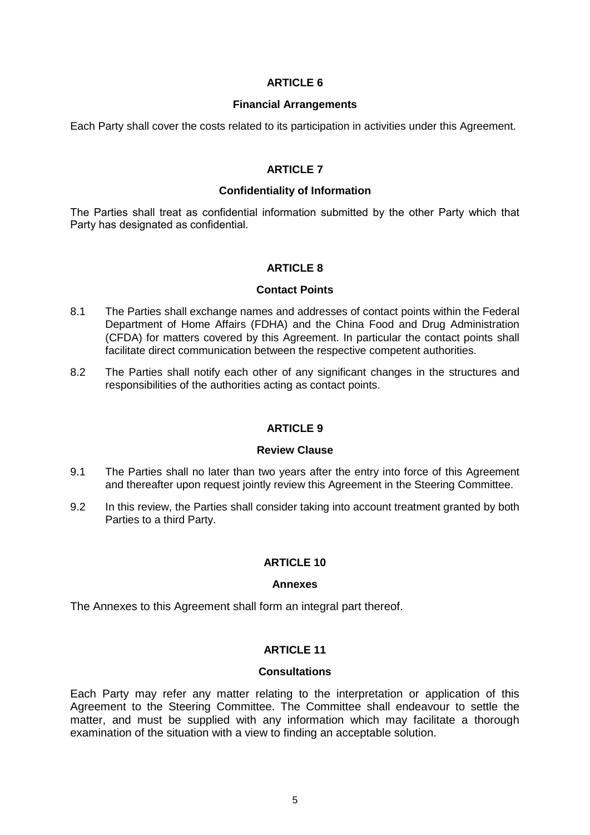#### **Financial Arrangements**

Each Party shall cover the costs related to its participation in activities under this Agreement.

## **ARTICLE 7**

## **Confidentiality of Information**

The Parties shall treat as confidential information submitted by the other Party which that Party has designated as confidential.

# **ARTICLE 8**

# **Contact Points**

- 8.1 The Parties shall exchange names and addresses of contact points within the Federal Department of Home Affairs (FDHA) and the China Food and Drug Administration (CFDA) for matters covered by this Agreement. In particular the contact points shall facilitate direct communication between the respective competent authorities.
- 8.2 The Parties shall notify each other of any significant changes in the structures and responsibilities of the authorities acting as contact points.

# **ARTICLE 9**

## **Review Clause**

- 9.1 The Parties shall no later than two years after the entry into force of this Agreement and thereafter upon request jointly review this Agreement in the Steering Committee.
- 9.2 In this review, the Parties shall consider taking into account treatment granted by both Parties to a third Party.

# **ARTICLE 10**

#### **Annexes**

The Annexes to this Agreement shall form an integral part thereof.

# **ARTICLE 11**

#### **Consultations**

Each Party may refer any matter relating to the interpretation or application of this Agreement to the Steering Committee. The Committee shall endeavour to settle the matter, and must be supplied with any information which may facilitate a thorough examination of the situation with a view to finding an acceptable solution.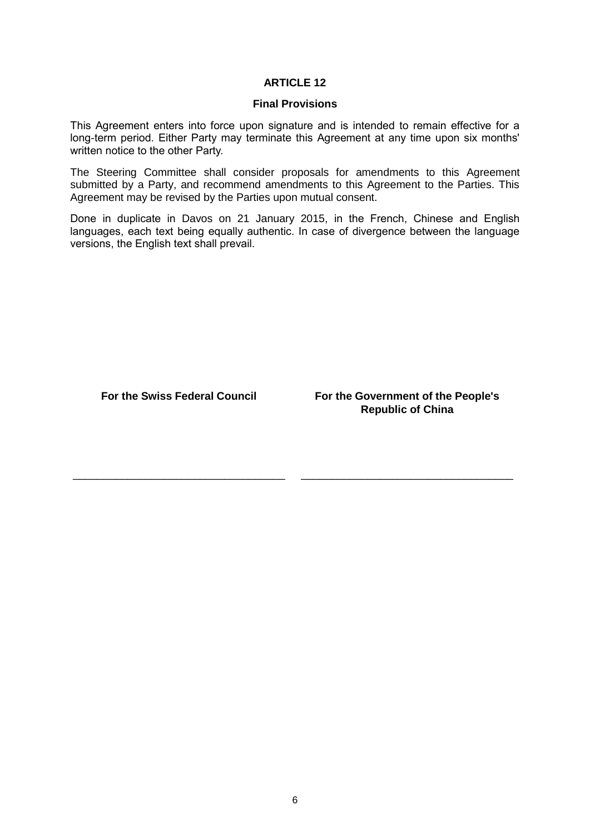#### **Final Provisions**

This Agreement enters into force upon signature and is intended to remain effective for a long-term period. Either Party may terminate this Agreement at any time upon six months' written notice to the other Party.

The Steering Committee shall consider proposals for amendments to this Agreement submitted by a Party, and recommend amendments to this Agreement to the Parties. This Agreement may be revised by the Parties upon mutual consent.

Done in duplicate in Davos on 21 January 2015, in the French, Chinese and English languages, each text being equally authentic. In case of divergence between the language versions, the English text shall prevail.

\_\_\_\_\_\_\_\_\_\_\_\_\_\_\_\_\_\_\_\_\_\_\_\_\_\_\_\_\_\_\_\_\_\_\_ \_\_\_\_\_\_\_\_\_\_\_\_\_\_\_\_\_\_\_\_\_\_\_\_\_\_\_\_\_\_\_\_\_\_\_

**For the Swiss Federal Council For the Government of the People's Republic of China**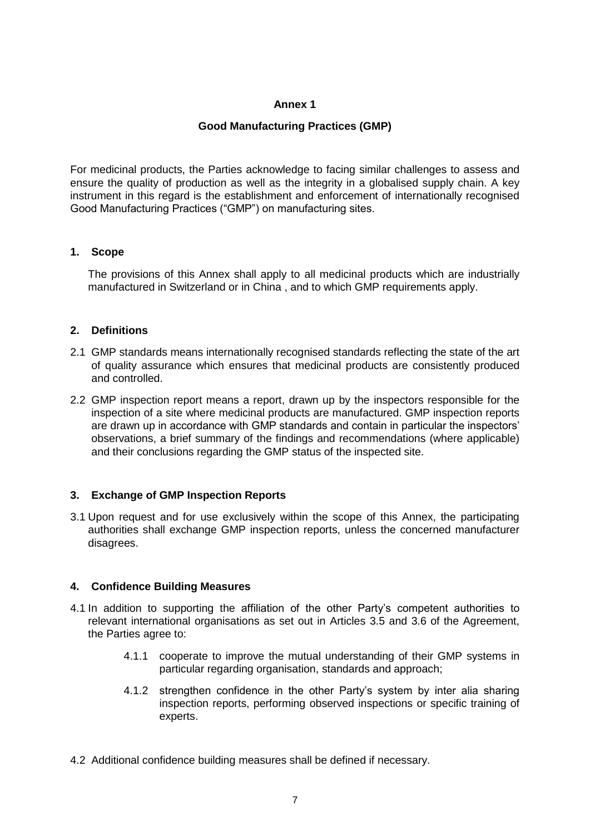# **Good Manufacturing Practices (GMP)**

For medicinal products, the Parties acknowledge to facing similar challenges to assess and ensure the quality of production as well as the integrity in a globalised supply chain. A key instrument in this regard is the establishment and enforcement of internationally recognised Good Manufacturing Practices ("GMP") on manufacturing sites.

# **1. Scope**

The provisions of this Annex shall apply to all medicinal products which are industrially manufactured in Switzerland or in China , and to which GMP requirements apply.

# **2. Definitions**

- 2.1 GMP standards means internationally recognised standards reflecting the state of the art of quality assurance which ensures that medicinal products are consistently produced and controlled.
- 2.2 GMP inspection report means a report, drawn up by the inspectors responsible for the inspection of a site where medicinal products are manufactured. GMP inspection reports are drawn up in accordance with GMP standards and contain in particular the inspectors' observations, a brief summary of the findings and recommendations (where applicable) and their conclusions regarding the GMP status of the inspected site.

# **3. Exchange of GMP Inspection Reports**

3.1 Upon request and for use exclusively within the scope of this Annex, the participating authorities shall exchange GMP inspection reports, unless the concerned manufacturer disagrees.

# **4. Confidence Building Measures**

- 4.1 In addition to supporting the affiliation of the other Party's competent authorities to relevant international organisations as set out in Articles 3.5 and 3.6 of the Agreement, the Parties agree to:
	- 4.1.1 cooperate to improve the mutual understanding of their GMP systems in particular regarding organisation, standards and approach;
	- 4.1.2 strengthen confidence in the other Party's system by inter alia sharing inspection reports, performing observed inspections or specific training of experts.
- 4.2 Additional confidence building measures shall be defined if necessary.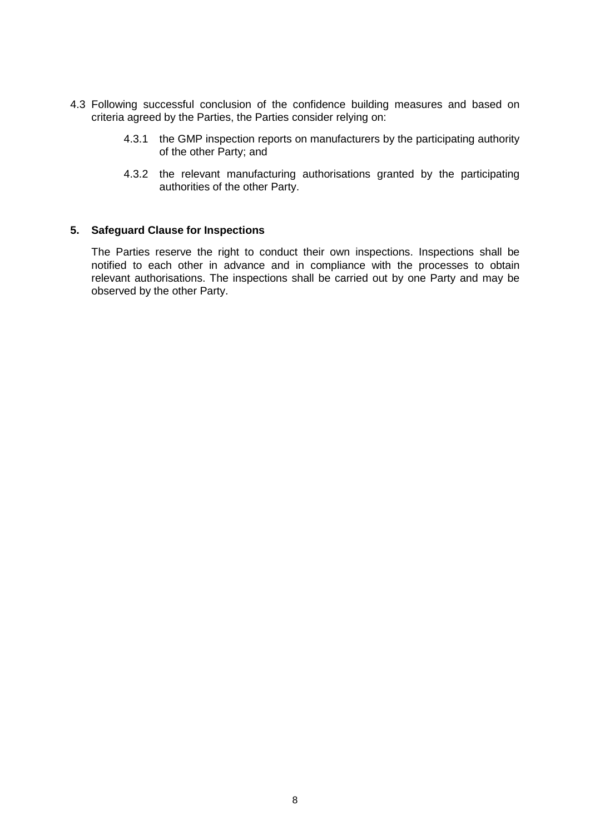- 4.3 Following successful conclusion of the confidence building measures and based on criteria agreed by the Parties, the Parties consider relying on:
	- 4.3.1 the GMP inspection reports on manufacturers by the participating authority of the other Party; and
	- 4.3.2 the relevant manufacturing authorisations granted by the participating authorities of the other Party.

#### **5. Safeguard Clause for Inspections**

The Parties reserve the right to conduct their own inspections. Inspections shall be notified to each other in advance and in compliance with the processes to obtain relevant authorisations. The inspections shall be carried out by one Party and may be observed by the other Party.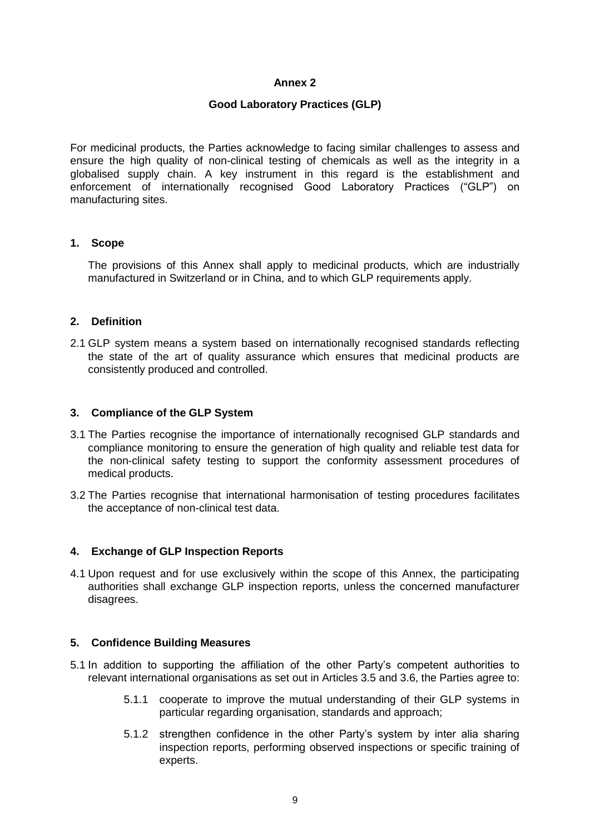## **Good Laboratory Practices (GLP)**

For medicinal products, the Parties acknowledge to facing similar challenges to assess and ensure the high quality of non-clinical testing of chemicals as well as the integrity in a globalised supply chain. A key instrument in this regard is the establishment and enforcement of internationally recognised Good Laboratory Practices ("GLP") on manufacturing sites.

## **1. Scope**

The provisions of this Annex shall apply to medicinal products, which are industrially manufactured in Switzerland or in China, and to which GLP requirements apply.

# **2. Definition**

2.1 GLP system means a system based on internationally recognised standards reflecting the state of the art of quality assurance which ensures that medicinal products are consistently produced and controlled.

## **3. Compliance of the GLP System**

- 3.1 The Parties recognise the importance of internationally recognised GLP standards and compliance monitoring to ensure the generation of high quality and reliable test data for the non-clinical safety testing to support the conformity assessment procedures of medical products.
- 3.2 The Parties recognise that international harmonisation of testing procedures facilitates the acceptance of non-clinical test data.

# **4. Exchange of GLP Inspection Reports**

4.1 Upon request and for use exclusively within the scope of this Annex, the participating authorities shall exchange GLP inspection reports, unless the concerned manufacturer disagrees.

#### **5. Confidence Building Measures**

- 5.1 In addition to supporting the affiliation of the other Party's competent authorities to relevant international organisations as set out in Articles 3.5 and 3.6, the Parties agree to:
	- 5.1.1 cooperate to improve the mutual understanding of their GLP systems in particular regarding organisation, standards and approach;
	- 5.1.2 strengthen confidence in the other Party's system by inter alia sharing inspection reports, performing observed inspections or specific training of experts.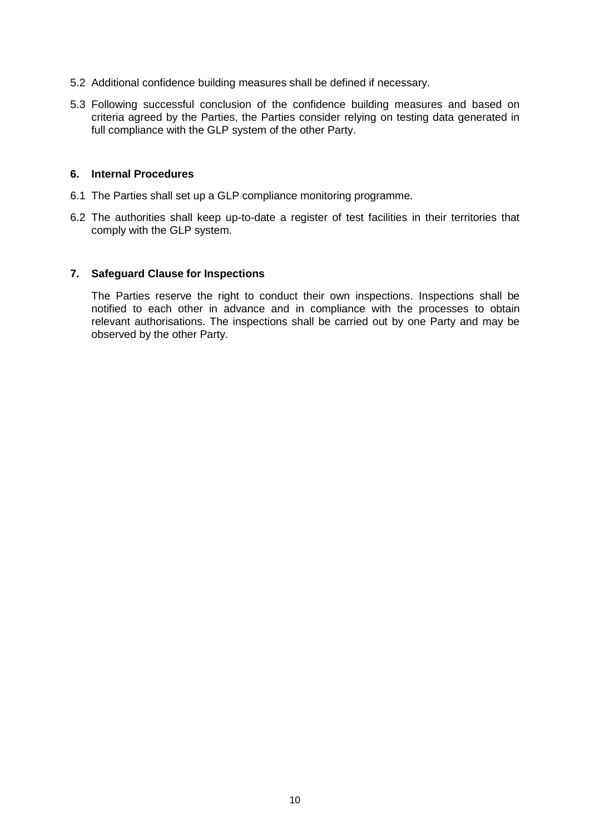- 5.2 Additional confidence building measures shall be defined if necessary.
- 5.3 Following successful conclusion of the confidence building measures and based on criteria agreed by the Parties, the Parties consider relying on testing data generated in full compliance with the GLP system of the other Party.

#### **6. Internal Procedures**

- 6.1 The Parties shall set up a GLP compliance monitoring programme.
- 6.2 The authorities shall keep up-to-date a register of test facilities in their territories that comply with the GLP system.

## **7. Safeguard Clause for Inspections**

The Parties reserve the right to conduct their own inspections. Inspections shall be notified to each other in advance and in compliance with the processes to obtain relevant authorisations. The inspections shall be carried out by one Party and may be observed by the other Party.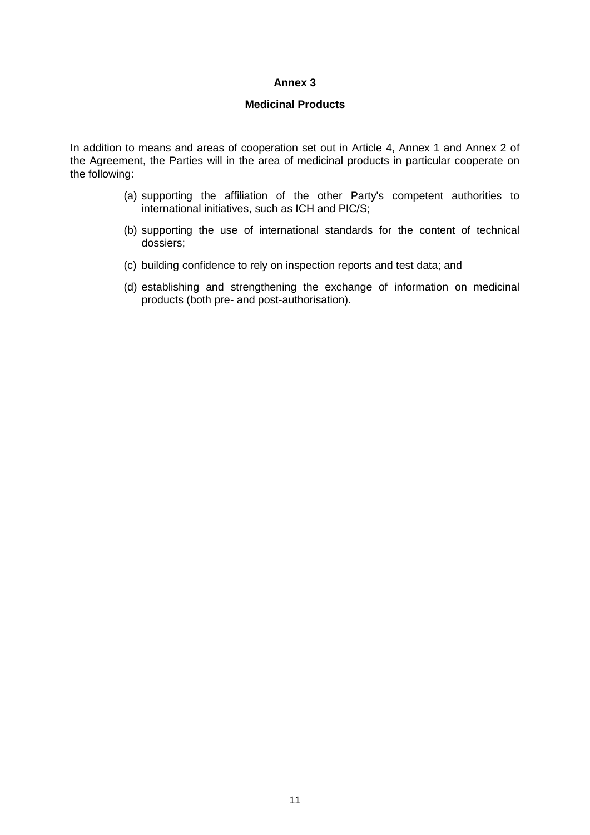## **Medicinal Products**

In addition to means and areas of cooperation set out in Article 4, Annex 1 and Annex 2 of the Agreement, the Parties will in the area of medicinal products in particular cooperate on the following:

- (a) supporting the affiliation of the other Party's competent authorities to international initiatives, such as ICH and PIC/S;
- (b) supporting the use of international standards for the content of technical dossiers;
- (c) building confidence to rely on inspection reports and test data; and
- (d) establishing and strengthening the exchange of information on medicinal products (both pre- and post-authorisation).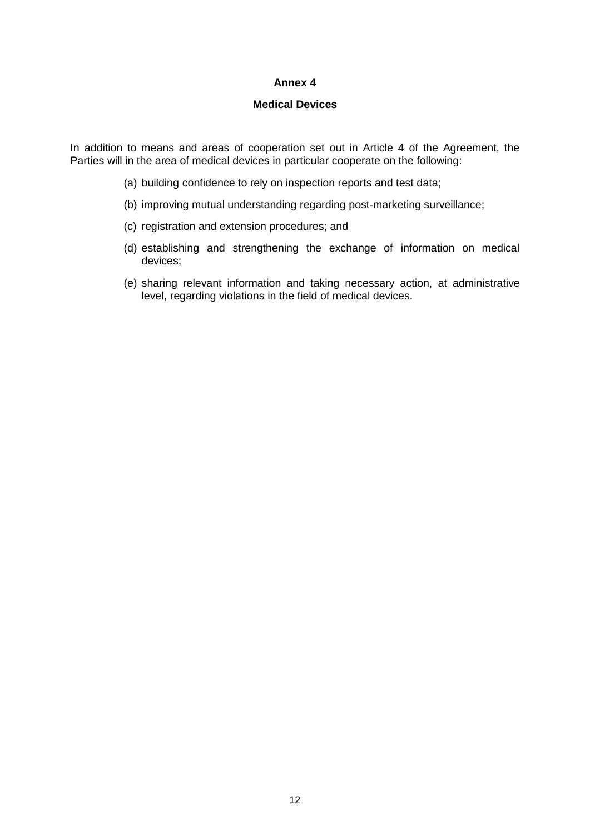## **Medical Devices**

In addition to means and areas of cooperation set out in Article 4 of the Agreement, the Parties will in the area of medical devices in particular cooperate on the following:

- (a) building confidence to rely on inspection reports and test data;
- (b) improving mutual understanding regarding post-marketing surveillance;
- (c) registration and extension procedures; and
- (d) establishing and strengthening the exchange of information on medical devices;
- (e) sharing relevant information and taking necessary action, at administrative level, regarding violations in the field of medical devices.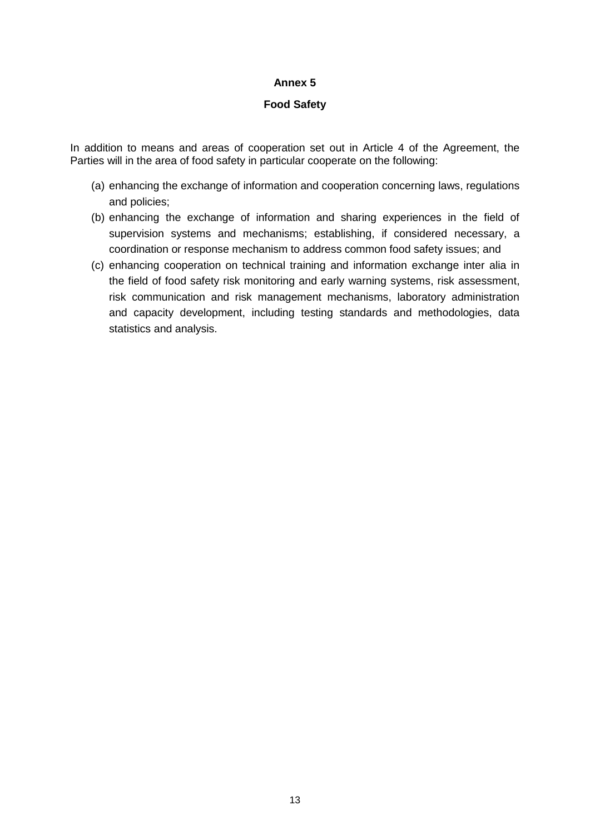## **Food Safety**

In addition to means and areas of cooperation set out in Article 4 of the Agreement, the Parties will in the area of food safety in particular cooperate on the following:

- (a) enhancing the exchange of information and cooperation concerning laws, regulations and policies;
- (b) enhancing the exchange of information and sharing experiences in the field of supervision systems and mechanisms; establishing, if considered necessary, a coordination or response mechanism to address common food safety issues; and
- (c) enhancing cooperation on technical training and information exchange inter alia in the field of food safety risk monitoring and early warning systems, risk assessment, risk communication and risk management mechanisms, laboratory administration and capacity development, including testing standards and methodologies, data statistics and analysis.